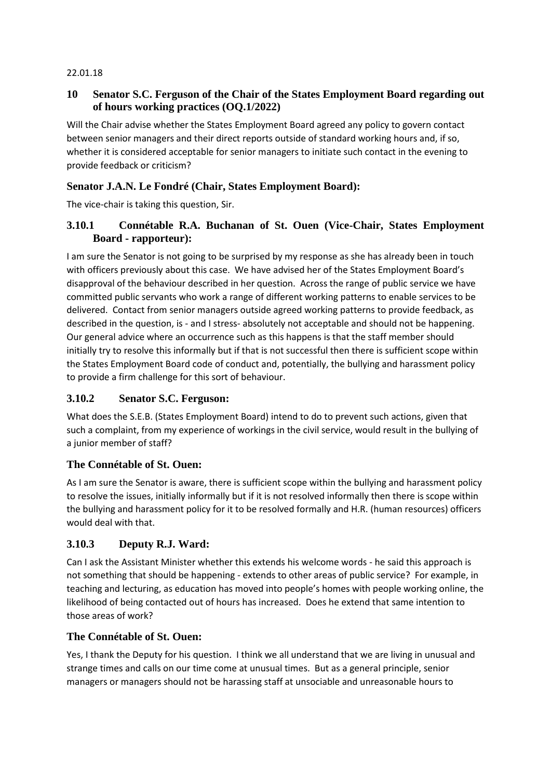#### 22.01.18

### **10 Senator S.C. Ferguson of the Chair of the States Employment Board regarding out of hours working practices (OQ.1/2022)**

Will the Chair advise whether the States Employment Board agreed any policy to govern contact between senior managers and their direct reports outside of standard working hours and, if so, whether it is considered acceptable for senior managers to initiate such contact in the evening to provide feedback or criticism?

#### **Senator J.A.N. Le Fondré (Chair, States Employment Board):**

The vice-chair is taking this question, Sir.

### **3.10.1 Connétable R.A. Buchanan of St. Ouen (Vice-Chair, States Employment Board - rapporteur):**

I am sure the Senator is not going to be surprised by my response as she has already been in touch with officers previously about this case. We have advised her of the States Employment Board's disapproval of the behaviour described in her question. Across the range of public service we have committed public servants who work a range of different working patterns to enable services to be delivered. Contact from senior managers outside agreed working patterns to provide feedback, as described in the question, is - and I stress- absolutely not acceptable and should not be happening. Our general advice where an occurrence such as this happens is that the staff member should initially try to resolve this informally but if that is not successful then there is sufficient scope within the States Employment Board code of conduct and, potentially, the bullying and harassment policy to provide a firm challenge for this sort of behaviour.

#### **3.10.2 Senator S.C. Ferguson:**

What does the S.E.B. (States Employment Board) intend to do to prevent such actions, given that such a complaint, from my experience of workings in the civil service, would result in the bullying of a junior member of staff?

#### **The Connétable of St. Ouen:**

As I am sure the Senator is aware, there is sufficient scope within the bullying and harassment policy to resolve the issues, initially informally but if it is not resolved informally then there is scope within the bullying and harassment policy for it to be resolved formally and H.R. (human resources) officers would deal with that.

#### **3.10.3 Deputy R.J. Ward:**

Can I ask the Assistant Minister whether this extends his welcome words - he said this approach is not something that should be happening - extends to other areas of public service? For example, in teaching and lecturing, as education has moved into people's homes with people working online, the likelihood of being contacted out of hours has increased. Does he extend that same intention to those areas of work?

#### **The Connétable of St. Ouen:**

Yes, I thank the Deputy for his question. I think we all understand that we are living in unusual and strange times and calls on our time come at unusual times. But as a general principle, senior managers or managers should not be harassing staff at unsociable and unreasonable hours to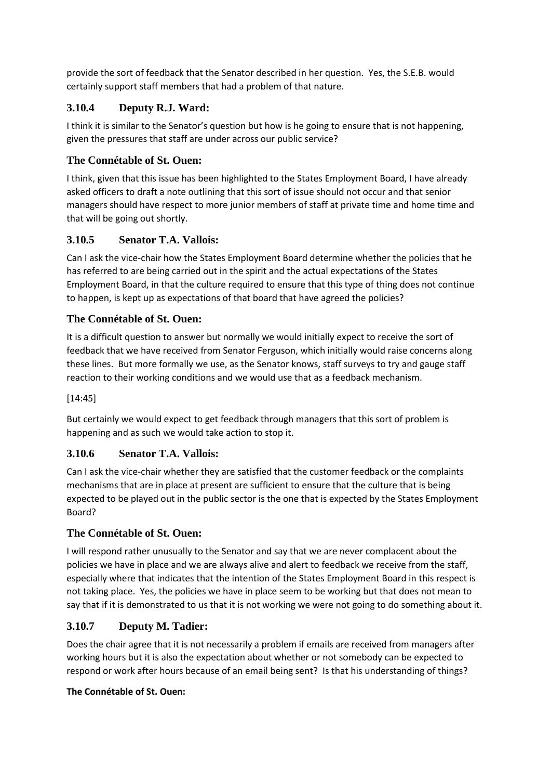provide the sort of feedback that the Senator described in her question. Yes, the S.E.B. would certainly support staff members that had a problem of that nature.

# **3.10.4 Deputy R.J. Ward:**

I think it is similar to the Senator's question but how is he going to ensure that is not happening, given the pressures that staff are under across our public service?

# **The Connétable of St. Ouen:**

I think, given that this issue has been highlighted to the States Employment Board, I have already asked officers to draft a note outlining that this sort of issue should not occur and that senior managers should have respect to more junior members of staff at private time and home time and that will be going out shortly.

# **3.10.5 Senator T.A. Vallois:**

Can I ask the vice-chair how the States Employment Board determine whether the policies that he has referred to are being carried out in the spirit and the actual expectations of the States Employment Board, in that the culture required to ensure that this type of thing does not continue to happen, is kept up as expectations of that board that have agreed the policies?

# **The Connétable of St. Ouen:**

It is a difficult question to answer but normally we would initially expect to receive the sort of feedback that we have received from Senator Ferguson, which initially would raise concerns along these lines. But more formally we use, as the Senator knows, staff surveys to try and gauge staff reaction to their working conditions and we would use that as a feedback mechanism.

[14:45]

But certainly we would expect to get feedback through managers that this sort of problem is happening and as such we would take action to stop it.

# **3.10.6 Senator T.A. Vallois:**

Can I ask the vice-chair whether they are satisfied that the customer feedback or the complaints mechanisms that are in place at present are sufficient to ensure that the culture that is being expected to be played out in the public sector is the one that is expected by the States Employment Board?

# **The Connétable of St. Ouen:**

I will respond rather unusually to the Senator and say that we are never complacent about the policies we have in place and we are always alive and alert to feedback we receive from the staff, especially where that indicates that the intention of the States Employment Board in this respect is not taking place. Yes, the policies we have in place seem to be working but that does not mean to say that if it is demonstrated to us that it is not working we were not going to do something about it.

# **3.10.7 Deputy M. Tadier:**

Does the chair agree that it is not necessarily a problem if emails are received from managers after working hours but it is also the expectation about whether or not somebody can be expected to respond or work after hours because of an email being sent? Is that his understanding of things?

#### **The Connétable of St. Ouen:**